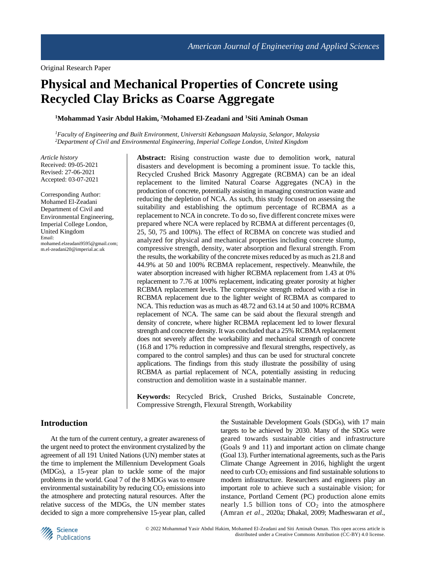# **Physical and Mechanical Properties of Concrete using Recycled Clay Bricks as Coarse Aggregate**

**<sup>1</sup>Mohammad Yasir Abdul Hakim, <sup>2</sup>Mohamed El-Zeadani and <sup>1</sup>Siti Aminah Osman**

*<sup>1</sup>Faculty of Engineering and Built Environment, Universiti Kebangsaan Malaysia, Selangor, Malaysia <sup>2</sup>Department of Civil and Environmental Engineering, Imperial College London, United Kingdom*

*Article history* Received: 09-05-2021 Revised: 27-06-2021 Accepted: 03-07-2021

Corresponding Author: Mohamed El-Zeadani Department of Civil and Environmental Engineering, Imperial College London, United Kingdom Email: mohamed.elzeadani9595@gmail.com; m.el-zeadani20@imperial.ac.uk

**Abstract:** Rising construction waste due to demolition work, natural disasters and development is becoming a prominent issue. To tackle this, Recycled Crushed Brick Masonry Aggregate (RCBMA) can be an ideal replacement to the limited Natural Coarse Aggregates (NCA) in the production of concrete, potentially assisting in managing construction waste and reducing the depletion of NCA. As such, this study focused on assessing the suitability and establishing the optimum percentage of RCBMA as a replacement to NCA in concrete. To do so, five different concrete mixes were prepared where NCA were replaced by RCBMA at different percentages (0, 25, 50, 75 and 100%). The effect of RCBMA on concrete was studied and analyzed for physical and mechanical properties including concrete slump, compressive strength, density, water absorption and flexural strength. From the results, the workability of the concrete mixes reduced by as much as 21.8 and 44.9% at 50 and 100% RCBMA replacement, respectively. Meanwhile, the water absorption increased with higher RCBMA replacement from 1.43 at 0% replacement to 7.76 at 100% replacement, indicating greater porosity at higher RCBMA replacement levels. The compressive strength reduced with a rise in RCBMA replacement due to the lighter weight of RCBMA as compared to NCA. This reduction was as much as 48.72 and 63.14 at 50 and 100% RCBMA replacement of NCA. The same can be said about the flexural strength and density of concrete, where higher RCBMA replacement led to lower flexural strength and concrete density. It was concluded that a 25% RCBMA replacement does not severely affect the workability and mechanical strength of concrete (16.8 and 17% reduction in compressive and flexural strengths, respectively, as compared to the control samples) and thus can be used for structural concrete applications. The findings from this study illustrate the possibility of using RCBMA as partial replacement of NCA, potentially assisting in reducing construction and demolition waste in a sustainable manner.

**Keywords:** Recycled Brick, Crushed Bricks, Sustainable Concrete, Compressive Strength, Flexural Strength, Workability

### **Introduction**

At the turn of the current century, a greater awareness of the urgent need to protect the environment crystalized by the agreement of all 191 United Nations (UN) member states at the time to implement the Millennium Development Goals (MDGs), a 15-year plan to tackle some of the major problems in the world. Goal 7 of the 8 MDGs was to ensure environmental sustainability by reducing  $CO<sub>2</sub>$  emissions into the atmosphere and protecting natural resources. After the relative success of the MDGs, the UN member states decided to sign a more comprehensive 15-year plan, called the Sustainable Development Goals (SDGs), with 17 main targets to be achieved by 2030. Many of the SDGs were geared towards sustainable cities and infrastructure (Goals 9 and 11) and important action on climate change (Goal 13). Further international agreements, such as the Paris Climate Change Agreement in 2016, highlight the urgent need to curb  $CO<sub>2</sub>$  emissions and find sustainable solutions to modern infrastructure. Researchers and engineers play an important role to achieve such a sustainable vision; for instance, Portland Cement (PC) production alone emits nearly 1.5 billion tons of  $CO<sub>2</sub>$  into the atmosphere (Amran *et al*., 2020a; Dhakal, 2009; Madheswaran *et al*.,

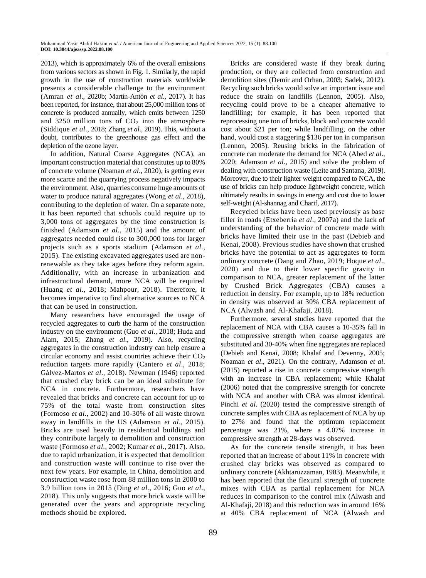2013), which is approximately 6% of the overall emissions from various sectors as shown in Fig. 1. Similarly, the rapid growth in the use of construction materials worldwide presents a considerable challenge to the environment (Amran *et al*., 2020b; Martín-Antón *et al*., 2017). It has been reported, for instance, that about 25,000 million tons of concrete is produced annually, which emits between 1250 and 3250 million tons of  $CO<sub>2</sub>$  into the atmosphere (Siddique *et al*., 2018; Zhang *et al*., 2019). This, without a doubt, contributes to the greenhouse gas effect and the depletion of the ozone layer.

In addition, Natural Coarse Aggregates (NCA), an important construction material that constitutes up to 80% of concrete volume (Noaman *et al*., 2020), is getting ever more scarce and the quarrying process negatively impacts the environment. Also, quarries consume huge amounts of water to produce natural aggregates (Wong *et al*., 2018), contributing to the depletion of water. On a separate note, it has been reported that schools could require up to 3,000 tons of aggregates by the time construction is finished (Adamson *et al*., 2015) and the amount of aggregates needed could rise to 300,000 tons for larger projects such as a sports stadium (Adamson *et al*., 2015). The existing excavated aggregates used are nonrenewable as they take ages before they reform again. Additionally, with an increase in urbanization and infrastructural demand, more NCA will be required (Huang *et al*., 2018; Mahpour, 2018). Therefore, it becomes imperative to find alternative sources to NCA that can be used in construction.

Many researchers have encouraged the usage of recycled aggregates to curb the harm of the construction industry on the environment (Guo *et al*., 2018; Huda and Alam, 2015; Zhang *et al*., 2019). Also, recycling aggregates in the construction industry can help ensure a circular economy and assist countries achieve their  $CO<sub>2</sub>$ reduction targets more rapidly (Cantero *et al*., 2018; Gálvez-Martos *et al*., 2018). Newman (1946) reported that crushed clay brick can be an ideal substitute for NCA in concrete. Furthermore, researchers have revealed that bricks and concrete can account for up to 75% of the total waste from construction sites (Formoso *et al*., 2002) and 10-30% of all waste thrown away in landfills in the US (Adamson *et al*., 2015). Bricks are used heavily in residential buildings and they contribute largely to demolition and construction waste (Formoso *et al*., 2002; Kumar *et al*., 2017). Also, due to rapid urbanization, it is expected that demolition and construction waste will continue to rise over the next few years. For example, in China, demolition and construction waste rose from 88 million tons in 2000 to 3.9 billion tons in 2015 (Ding *et al*., 2016; Guo *et al*., 2018). This only suggests that more brick waste will be generated over the years and appropriate recycling methods should be explored.

Bricks are considered waste if they break during production, or they are collected from construction and demolition sites (Demir and Orhan, 2003; Sadek, 2012). Recycling such bricks would solve an important issue and reduce the strain on landfills (Lennon, 2005). Also, recycling could prove to be a cheaper alternative to landfilling; for example, it has been reported that reprocessing one ton of bricks, block and concrete would cost about \$21 per ton; while landfilling, on the other hand, would cost a staggering \$136 per ton in comparison (Lennon, 2005). Reusing bricks in the fabrication of concrete can moderate the demand for NCA (Abed *et al*., 2020; Adamson *et al*., 2015) and solve the problem of dealing with construction waste (Leite and Santana, 2019). Moreover, due to their lighter weight compared to NCA, the use of bricks can help produce lightweight concrete, which ultimately results in savings in energy and cost due to lower self-weight (Al-shannag and Charif, 2017).

Recycled bricks have been used previously as base filler in roads (Etxeberria *et al*., 2007a) and the lack of understanding of the behavior of concrete made with bricks have limited their use in the past (Debieb and Kenai, 2008). Previous studies have shown that crushed bricks have the potential to act as aggregates to form ordinary concrete (Dang and Zhao, 2019; Hoque *et al*., 2020) and due to their lower specific gravity in comparison to NCA, greater replacement of the latter by Crushed Brick Aggregates (CBA) causes a reduction in density. For example, up to 18% reduction in density was observed at 30% CBA replacement of NCA (Alwash and Al-Khafaji, 2018).

Furthermore, several studies have reported that the replacement of NCA with CBA causes a 10-35% fall in the compressive strength when coarse aggregates are substituted and 30-40% when fine aggregates are replaced (Debieb and Kenai, 2008; Khalaf and Devenny, 2005; Noaman *et al*., 2021). On the contrary, Adamson *et al*. (2015) reported a rise in concrete compressive strength with an increase in CBA replacement; while Khalaf (2006) noted that the compressive strength for concrete with NCA and another with CBA was almost identical. Pinchi *et al*. (2020) tested the compressive strength of concrete samples with CBA as replacement of NCA by up to 27% and found that the optimum replacement percentage was 21%, where a 4.07% increase in compressive strength at 28-days was observed.

As for the concrete tensile strength, it has been reported that an increase of about 11% in concrete with crushed clay bricks was observed as compared to ordinary concrete (Akhtaruzzaman, 1983). Meanwhile, it has been reported that the flexural strength of concrete mixes with CBA as partial replacement for NCA reduces in comparison to the control mix (Alwash and Al-Khafaji, 2018) and this reduction was in around 16% at 40% CBA replacement of NCA (Alwash and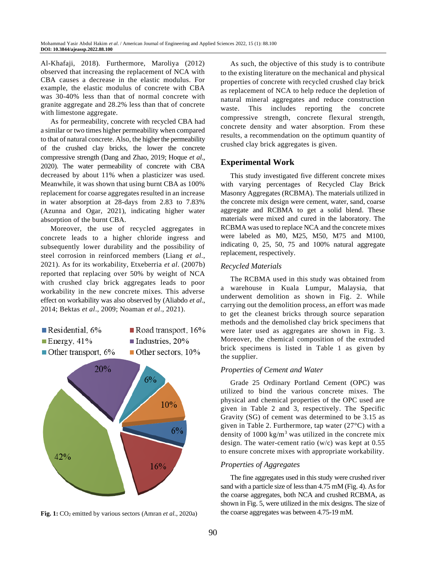Al-Khafaji, 2018). Furthermore, Maroliya (2012) observed that increasing the replacement of NCA with CBA causes a decrease in the elastic modulus. For example, the elastic modulus of concrete with CBA was 30-40% less than that of normal concrete with granite aggregate and 28.2% less than that of concrete with limestone aggregate.

As for permeability, concrete with recycled CBA had a similar or two times higher permeability when compared to that of natural concrete. Also, the higher the permeability of the crushed clay bricks, the lower the concrete compressive strength (Dang and Zhao, 2019; Hoque *et al*., 2020). The water permeability of concrete with CBA decreased by about 11% when a plasticizer was used. Meanwhile, it was shown that using burnt CBA as 100% replacement for coarse aggregates resulted in an increase in water absorption at 28-days from 2.83 to 7.83% (Azunna and Ogar, 2021), indicating higher water absorption of the burnt CBA.

Moreover, the use of recycled aggregates in concrete leads to a higher chloride ingress and subsequently lower durability and the possibility of steel corrosion in reinforced members (Liang *et al*., 2021). As for its workability, Etxeberria *et al*. (2007b) reported that replacing over 50% by weight of NCA with crushed clay brick aggregates leads to poor workability in the new concrete mixes. This adverse effect on workability was also observed by (Aliabdo *et al*., 2014; Bektas *et al*., 2009; Noaman *et al*., 2021).





**Fig. 1:** CO<sub>2</sub> emitted by various sectors (Amran *et al.*, 2020a)

As such, the objective of this study is to contribute to the existing literature on the mechanical and physical properties of concrete with recycled crushed clay brick as replacement of NCA to help reduce the depletion of natural mineral aggregates and reduce construction waste. This includes reporting the concrete compressive strength, concrete flexural strength, concrete density and water absorption. From these results, a recommendation on the optimum quantity of crushed clay brick aggregates is given.

### **Experimental Work**

This study investigated five different concrete mixes with varying percentages of Recycled Clay Brick Masonry Aggregates (RCBMA). The materials utilized in the concrete mix design were cement, water, sand, coarse aggregate and RCBMA to get a solid blend. These materials were mixed and cured in the laboratory. The RCBMA was used to replace NCA and the concrete mixes were labeled as M0, M25, M50, M75 and M100, indicating 0, 25, 50, 75 and 100% natural aggregate replacement, respectively.

### *Recycled Materials*

The RCBMA used in this study was obtained from a warehouse in Kuala Lumpur, Malaysia, that underwent demolition as shown in Fig. 2. While carrying out the demolition process, an effort was made to get the cleanest bricks through source separation methods and the demolished clay brick specimens that were later used as aggregates are shown in Fig. 3. Moreover, the chemical composition of the extruded brick specimens is listed in Table 1 as given by the supplier.

### *Properties of Cement and Water*

Grade 25 Ordinary Portland Cement (OPC) was utilized to bind the various concrete mixes. The physical and chemical properties of the OPC used are given in Table 2 and 3, respectively. The Specific Gravity (SG) of cement was determined to be 3.15 as given in Table 2. Furthermore, tap water (27°C) with a density of  $1000 \text{ kg/m}^3$  was utilized in the concrete mix design. The water-cement ratio (w/c) was kept at 0.55 to ensure concrete mixes with appropriate workability.

### *Properties of Aggregates*

The fine aggregates used in this study were crushed river sand with a particle size of less than 4.75 mM (Fig. 4). As for the coarse aggregates, both NCA and crushed RCBMA, as shown in Fig. 5, were utilized in the mix designs. The size of the coarse aggregates was between 4.75-19 mM.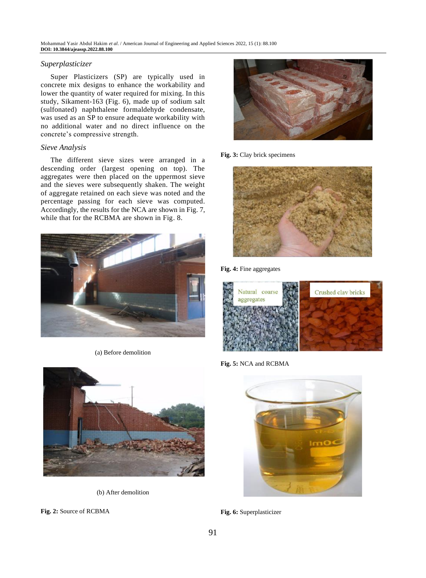### *Superplasticizer*

Super Plasticizers (SP) are typically used in concrete mix designs to enhance the workability and lower the quantity of water required for mixing. In this study, Sikament-163 (Fig. 6), made up of sodium salt (sulfonated) naphthalene formaldehyde condensate, was used as an SP to ensure adequate workability with no additional water and no direct influence on the concrete's compressive strength.

### *Sieve Analysis*

The different sieve sizes were arranged in a descending order (largest opening on top). The aggregates were then placed on the uppermost sieve and the sieves were subsequently shaken. The weight of aggregate retained on each sieve was noted and the percentage passing for each sieve was computed. Accordingly, the results for the NCA are shown in Fig. 7, while that for the RCBMA are shown in Fig. 8.



(a) Before demolition



(b) After demolition

**Fig. 2:** Source of RCBMA



### **Fig. 3:** Clay brick specimens



**Fig. 4:** Fine aggregates



**Fig. 5:** NCA and RCBMA



**Fig. 6:** Superplasticizer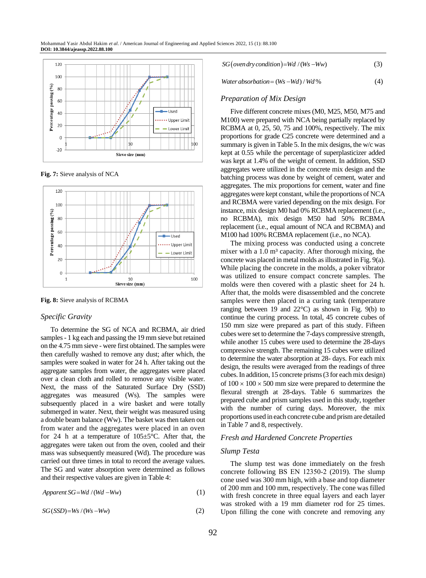

**Fig. 7:** Sieve analysis of NCA



**Fig. 8:** Sieve analysis of RCBMA

### *Specific Gravity*

To determine the SG of NCA and RCBMA, air dried samples- 1 kg each and passing the 19 mm sieve but retained on the 4.75 mm sieve - were first obtained. The samples were then carefully washed to remove any dust; after which, the samples were soaked in water for 24 h. After taking out the aggregate samples from water, the aggregates were placed over a clean cloth and rolled to remove any visible water. Next, the mass of the Saturated Surface Dry (SSD) aggregates was measured (Ws). The samples were subsequently placed in a wire basket and were totally submerged in water. Next, their weight was measured using a double beam balance (Ww). The basket was then taken out from water and the aggregates were placed in an oven for 24 h at a temperature of  $105 \pm 5^{\circ}$ C. After that, the aggregates were taken out from the oven, cooled and their mass was subsequently measured (Wd). The procedure was carried out three times in total to record the average values. The SG and water absorption were determined as follows and their respective values are given in Table 4:

$$
Apparent SG = Wd/(Wd - Ww)
$$
\n(1)

$$
SG(SSD)=Ws/(Ws-Ww)
$$
 (2)

$$
SG(over dry condition)=Wd/(Ws-Ww)
$$
 (3)

*Water absorbation* =  $(Ws - Wd) / Wd$  % (4)

### *Preparation of Mix Design*

Five different concrete mixes (M0, M25, M50, M75 and M100) were prepared with NCA being partially replaced by RCBMA at 0, 25, 50, 75 and 100%, respectively. The mix proportions for grade C25 concrete were determined and a summary is given in Table 5. In the mix designs, the w/c was kept at 0.55 while the percentage of superplasticizer added was kept at 1.4% of the weight of cement. In addition, SSD aggregates were utilized in the concrete mix design and the batching process was done by weight of cement, water and aggregates. The mix proportions for cement, water and fine aggregates were kept constant, while the proportions of NCA and RCBMA were varied depending on the mix design. For instance, mix design M0 had 0% RCBMA replacement (i.e., no RCBMA), mix design M50 had 50% RCBMA replacement (i.e., equal amount of NCA and RCBMA) and M100 had 100% RCBMA replacement (i.e., no NCA).

The mixing process was conducted using a concrete mixer with a  $1.0 \text{ m}^3$  capacity. After thorough mixing, the concrete was placed in metal molds as illustrated in Fig. 9(a). While placing the concrete in the molds, a poker vibrator was utilized to ensure compact concrete samples. The molds were then covered with a plastic sheet for 24 h. After that, the molds were disassembled and the concrete samples were then placed in a curing tank (temperature ranging between 19 and  $22^{\circ}$ C) as shown in Fig. 9(b) to continue the curing process. In total, 45 concrete cubes of 150 mm size were prepared as part of this study. Fifteen cubes were set to determine the 7-days compressive strength, while another 15 cubes were used to determine the 28-days compressive strength. The remaining 15 cubes were utilized to determine the water absorption at 28- days. For each mix design, the results were averaged from the readings of three cubes. In addition, 15 concrete prisms (3 for each mix design) of  $100 \times 100 \times 500$  mm size were prepared to determine the flexural strength at 28-days. Table 6 summarizes the prepared cube and prism samples used in this study, together with the number of curing days. Moreover, the mix proportions used in each concrete cube and prism are detailed in Table 7 and 8, respectively.

#### *Fresh and Hardened Concrete Properties*

#### *Slump Testa*

The slump test was done immediately on the fresh concrete following BS EN 12350‑2 (2019). The slump cone used was 300 mm high, with a base and top diameter of 200 mm and 100 mm, respectively. The cone was filled with fresh concrete in three equal layers and each layer was stroked with a 19 mm diameter rod for 25 times. Upon filling the cone with concrete and removing any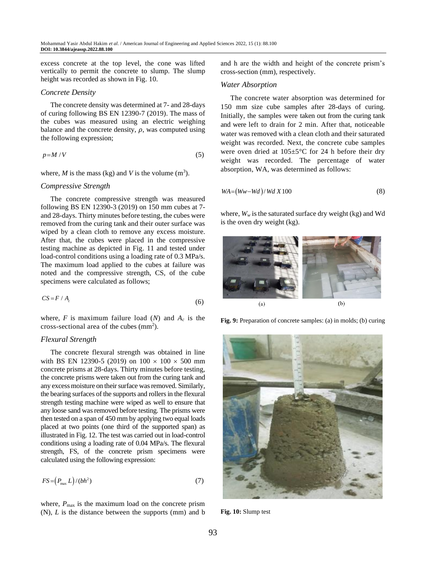excess concrete at the top level, the cone was lifted vertically to permit the concrete to slump. The slump height was recorded as shown in Fig. 10.

#### *Concrete Density*

The concrete density was determined at 7- and 28-days of curing following BS EN 12390-7 (2019). The mass of the cubes was measured using an electric weighing balance and the concrete density,  $\rho$ , was computed using the following expression;

$$
p=M/V \tag{5}
$$

where,  $M$  is the mass (kg) and  $V$  is the volume  $(m^3)$ .

#### *Compressive Strength*

The concrete compressive strength was measured following BS EN 12390-3 (2019) on 150 mm cubes at 7 and 28-days. Thirty minutes before testing, the cubes were removed from the curing tank and their outer surface was wiped by a clean cloth to remove any excess moisture. After that, the cubes were placed in the compressive testing machine as depicted in Fig. 11 and tested under load-control conditions using a loading rate of 0.3 MPa/s. The maximum load applied to the cubes at failure was noted and the compressive strength, CS, of the cube specimens were calculated as follows;

$$
CS = F / A_c \tag{6}
$$

where,  $F$  is maximum failure load ( $N$ ) and  $A_c$  is the cross-sectional area of the cubes  $(mm^2)$ .

### *Flexural Strength*

The concrete flexural strength was obtained in line with BS EN 12390-5 (2019) on  $100 \times 100 \times 500$  mm concrete prisms at 28-days. Thirty minutes before testing, the concrete prisms were taken out from the curing tank and any excess moisture on their surface was removed. Similarly, the bearing surfaces of the supports and rollers in the flexural strength testing machine were wiped as well to ensure that any loose sand was removed before testing. The prisms were then tested on a span of 450 mm by applying two equal loads placed at two points (one third of the supported span) as illustrated in Fig. 12. The test was carried out in load-control conditions using a loading rate of 0.04 MPa/s. The flexural strength, FS, of the concrete prism specimens were calculated using the following expression:

$$
FS = \left(P_{\text{max}} L\right) / \left(bh^2\right) \tag{7}
$$

where,  $P_{\text{max}}$  is the maximum load on the concrete prism (N), *L* is the distance between the supports (mm) and b and h are the width and height of the concrete prism's cross-section (mm), respectively.

#### *Water Absorption*

The concrete water absorption was determined for 150 mm size cube samples after 28-days of curing. Initially, the samples were taken out from the curing tank and were left to drain for 2 min. After that, noticeable water was removed with a clean cloth and their saturated weight was recorded. Next, the concrete cube samples were oven dried at 105±5°C for 24 h before their dry weight was recorded. The percentage of water absorption, WA, was determined as follows:

$$
WA = (Ww - Wd) / Wd X 100 \tag{8}
$$

where,  $W_w$  is the saturated surface dry weight (kg) and Wd is the oven dry weight (kg).



**Fig. 9:** Preparation of concrete samples: (a) in molds; (b) curing



**Fig. 10:** Slump test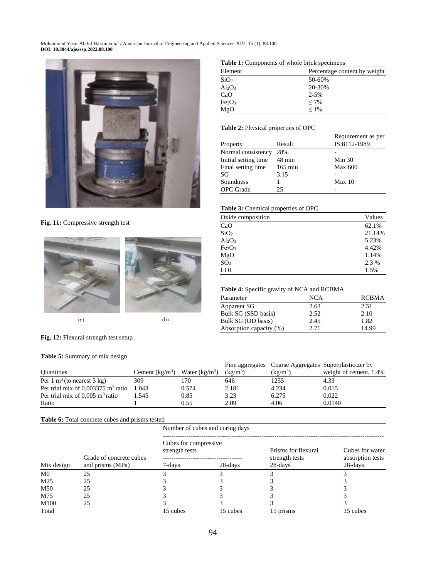

**Fig. 11:** Compressive strength test



 $\left( a\right)$ 

 $(b)$ 

### **Fig. 12:** Flexural strength test setup

#### **Table 5:** Summary of mix design

|                                               |                  |                  |            |            | Fine aggregates Coarse Aggregates Superplasticizer by |
|-----------------------------------------------|------------------|------------------|------------|------------|-------------------------------------------------------|
| <b>Quantities</b>                             | Cement $(kg/m3)$ | Water $(kg/m^3)$ | $(kg/m^3)$ | $(kg/m^3)$ | weight of cement, 1.4%                                |
| Per 1 m <sup>3</sup> (to nearest 5 kg)        | 309              | 170              | 646        | 1255       | 4.33                                                  |
| Per trial mix of $0.003375 \text{ m}^3$ ratio | .043             | 0.574            | 2.181      | 4.234      | 0.015                                                 |
| Per trial mix of $0.005 \text{ m}^3$ ratio    | .545             | 0.85             | 3.23       | 6.275      | 0.022                                                 |
| Ratio                                         |                  | 0.55             | 2.09       | 4.06       | 0.0140                                                |

### **Table 6:** Total concrete cubes and prisms tested

|                 |                         | Number of cubes and curing days          |          |                                       |                                     |  |  |
|-----------------|-------------------------|------------------------------------------|----------|---------------------------------------|-------------------------------------|--|--|
|                 | Grade of concrete cubes | Cubes for compressive.<br>strength tests |          | Prisms for flexural<br>strength tests | Cubes for water<br>absorption tests |  |  |
| Mix design      | and prisms (MPa)        | 7-days                                   | 28-days  | 28-days                               | 28-days                             |  |  |
| M <sub>0</sub>  | 25                      |                                          |          |                                       |                                     |  |  |
| M <sub>25</sub> | 25                      |                                          |          |                                       |                                     |  |  |
| M50             | 25                      |                                          |          |                                       |                                     |  |  |
| M75             | 25                      |                                          |          |                                       |                                     |  |  |
| M100            | 25                      |                                          |          |                                       |                                     |  |  |
| Total           |                         | 15 cubes                                 | 15 cubes | 15 prisms                             | 15 cubes                            |  |  |

#### **Table 1:** Components of whole brick specimens

| <b>THOIC II</b> COMPONED OF WHOIC CHER SPECIMENS |                              |  |  |  |  |
|--------------------------------------------------|------------------------------|--|--|--|--|
| Element                                          | Percentage content by weight |  |  |  |  |
| SiO <sub>2</sub>                                 | 50-60%                       |  |  |  |  |
| $Al_2O_3$                                        | 20-30%                       |  |  |  |  |
| CaO                                              | $2 - 5%$                     |  |  |  |  |
| Fe <sub>2</sub> O <sub>3</sub>                   | $< 7\%$                      |  |  |  |  |
| MgO                                              | $1\%$                        |  |  |  |  |
|                                                  |                              |  |  |  |  |

### **Table 2:** Physical properties of OPC

|                       |                   | Requirement as per |
|-----------------------|-------------------|--------------------|
| Property              | Result            | IS:8112-1989       |
| Normal consistency    | 28%               |                    |
| Initial setting time. | $48 \text{ min}$  | Min 30             |
| Final setting time    | $165 \text{ min}$ | <b>Max 600</b>     |
| SG                    | 3.15              |                    |
| Soundness             |                   | Max 10             |
| <b>OPC</b> Grade      | 25                |                    |

### **Table 3:** Chemical properties of OPC

| Oxide composition              | Values |  |  |
|--------------------------------|--------|--|--|
| CaO                            | 62.1%  |  |  |
| SiO <sub>2</sub>               | 21.14% |  |  |
| $Al_2O_3$                      | 5.23%  |  |  |
| Fe <sub>2</sub> O <sub>3</sub> | 4.42%  |  |  |
| MgO                            | 1.14%  |  |  |
| SO <sub>3</sub>                | 2.3 %  |  |  |
| LOI                            | 1.5%   |  |  |

#### **Table 4:** Specific gravity of NCA and RCBMA

| Parameter               | <b>NCA</b> | <b>RCBMA</b> |
|-------------------------|------------|--------------|
| Apparent SG             | 2.63       | 2.51         |
| Bulk SG (SSD basis)     | 2.52       | 2.10         |
| Bulk SG (OD basis)      | 2.45       | 1.82         |
| Absorption capacity (%) | 2.71       | 14.99        |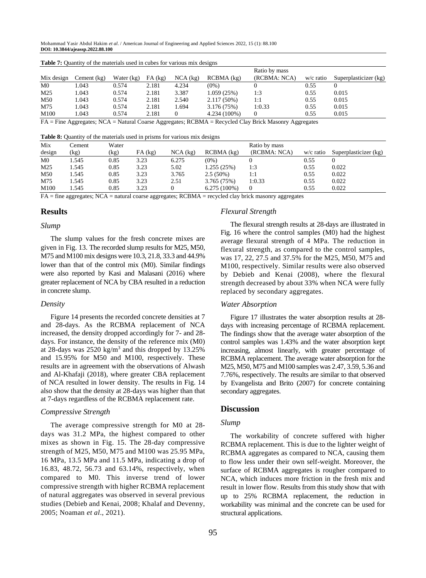| Mix design     | Cement $(kg)$ | Water $(kg)$ | $FA$ $(kg)$ | $NCA$ (kg) | $RCBMA$ $(kg)$ | Ratio by mass<br>(RCBMA: NCA) | w/c ratio | Superplasticizer (kg) |
|----------------|---------------|--------------|-------------|------------|----------------|-------------------------------|-----------|-----------------------|
| M <sub>0</sub> | 1.043         | 0.574        | 2.181       | 4.234      | $(0\%)$        |                               | 0.55      |                       |
| M25            | 1.043         | 0.574        | 2.181       | 3.387      | 1.059 (25%)    | 1:3                           | 0.55      | 0.015                 |
| M50            | 1.043         | 0.574        | 2.181       | 2.540      | $2.117(50\%)$  | 1:1                           | 0.55      | 0.015                 |
| M75            | 1.043         | 0.574        | 2.181       | 1.694      | 3.176 (75%)    | 1:0.33                        | 0.55      | 0.015                 |
| M100           | 1.043         | 0.574        | 2.181       |            | $4.234(100\%)$ | $\Omega$                      | 0.55      | 0.015                 |

**Table 7:** Quantity of the materials used in cubes for various mix designs

FA = Fine Aggregates; NCA = Natural Coarse Aggregates; RCBMA = Recycled Clay Brick Masonry Aggregates

**Table 8:** Quantity of the materials used in prisms for various mix designs

| Mix             | <b>Cement</b> | Water |           |            |                | Ratio by mass |           |                       |
|-----------------|---------------|-------|-----------|------------|----------------|---------------|-----------|-----------------------|
| design          | (kg)          | (kg)  | $FA$ (kg) | $NCA$ (kg) | $RCBMA$ (kg)   | (RCBMA: NCA)  | w/c ratio | Superplasticizer (kg) |
| M <sub>0</sub>  | .545          | 0.85  | 3.23      | 6.275      | $(0\%)$        |               | 0.55      |                       |
| M <sub>25</sub> | .545          | 0.85  | 3.23      | 5.02       | 1.255(25%)     | 1:3           | 0.55      | 0.022                 |
| M50             | l.545         | 0.85  | 3.23      | 3.765      | $2.5(50\%)$    | 1:1           | 0.55      | 0.022                 |
| M75             | .545          | 0.85  | 3.23      | 2.51       | 3.765 (75%)    | 1:0.33        | 0.55      | 0.022                 |
| M100            | l.545         | 0.85  | 3.23      |            | $6.275(100\%)$ | $\Omega$      | 0.55      | 0.022                 |

FA = fine aggregates; NCA = natural coarse aggregates; RCBMA = recycled clay brick masonry aggregates

### **Results**

#### *Slump*

The slump values for the fresh concrete mixes are given in Fig. 13. The recorded slump results for M25, M50, M75 and M100 mix designs were 10.3, 21.8, 33.3 and 44.9% lower than that of the control mix (M0). Similar findings were also reported by Kasi and Malasani (2016) where greater replacement of NCA by CBA resulted in a reduction in concrete slump.

### *Density*

Figure 14 presents the recorded concrete densities at 7 and 28-days. As the RCBMA replacement of NCA increased, the density dropped accordingly for 7- and 28 days. For instance, the density of the reference mix (M0) at 28-days was  $2520 \text{ kg/m}^3$  and this dropped by  $13.25\%$ and 15.95% for M50 and M100, respectively. These results are in agreement with the observations of Alwash and Al-Khafaji (2018), where greater CBA replacement of NCA resulted in lower density. The results in Fig. 14 also show that the density at 28-days was higher than that at 7-days regardless of the RCBMA replacement rate.

### *Compressive Strength*

The average compressive strength for M0 at 28 days was 31.2 MPa, the highest compared to other mixes as shown in Fig. 15. The 28-day compressive strength of M25, M50, M75 and M100 was 25.95 MPa, 16 MPa, 13.5 MPa and 11.5 MPa, indicating a drop of 16.83, 48.72, 56.73 and 63.14%, respectively, when compared to M0. This inverse trend of lower compressive strength with higher RCBMA replacement of natural aggregates was observed in several previous studies (Debieb and Kenai, 2008; Khalaf and Devenny, 2005; Noaman *et al*., 2021).

### *Flexural Strength*

The flexural strength results at 28-days are illustrated in Fig. 16 where the control samples (M0) had the highest average flexural strength of 4 MPa. The reduction in flexural strength, as compared to the control samples, was 17, 22, 27.5 and 37.5% for the M25, M50, M75 and M100, respectively. Similar results were also observed by Debieb and Kenai (2008), where the flexural strength decreased by about 33% when NCA were fully replaced by secondary aggregates.

### *Water Absorption*

Figure 17 illustrates the water absorption results at 28 days with increasing percentage of RCBMA replacement. The findings show that the average water absorption of the control samples was 1.43% and the water absorption kept increasing, almost linearly, with greater percentage of RCBMA replacement. The average water absorption for the M25, M50, M75 and M100 samples was 2.47, 3.59, 5.36 and 7.76%, respectively. The results are similar to that observed by Evangelista and Brito (2007) for concrete containing secondary aggregates.

### **Discussion**

### *Slump*

The workability of concrete suffered with higher RCBMA replacement. This is due to the lighter weight of RCBMA aggregates as compared to NCA, causing them to flow less under their own self-weight. Moreover, the surface of RCBMA aggregates is rougher compared to NCA, which induces more friction in the fresh mix and result in lower flow. Results from this study show that with up to 25% RCBMA replacement, the reduction in workability was minimal and the concrete can be used for structural applications.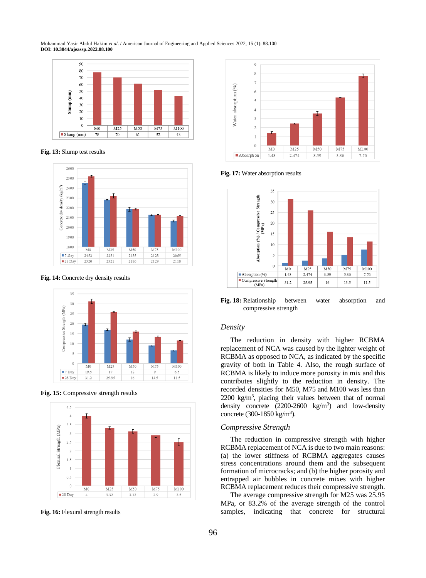

**Fig. 13:** Slump test results



**Fig. 14:** Concrete dry density results



**Fig. 15:** Compressive strength results



**Fig. 16:** Flexural strength results



**Fig. 17:** Water absorption results



**Fig. 18:** Relationship between water absorption and compressive strength

#### *Density*

The reduction in density with higher RCBMA replacement of NCA was caused by the lighter weight of RCBMA as opposed to NCA, as indicated by the specific gravity of both in Table 4. Also, the rough surface of RCBMA is likely to induce more porosity in mix and this contributes slightly to the reduction in density. The recorded densities for M50, M75 and M100 was less than  $2200 \text{ kg/m}^3$ , placing their values between that of normal density concrete  $(2200-2600 \text{ kg/m}^3)$  and low-density concrete (300-1850 kg/m<sup>3</sup>).

#### *Compressive Strength*

The reduction in compressive strength with higher RCBMA replacement of NCA is due to two main reasons: (a) the lower stiffness of RCBMA aggregates causes stress concentrations around them and the subsequent formation of microcracks; and (b) the higher porosity and entrapped air bubbles in concrete mixes with higher RCBMA replacement reduces their compressive strength.

The average compressive strength for M25 was 25.95 MPa, or 83.2% of the average strength of the control samples, indicating that concrete for structural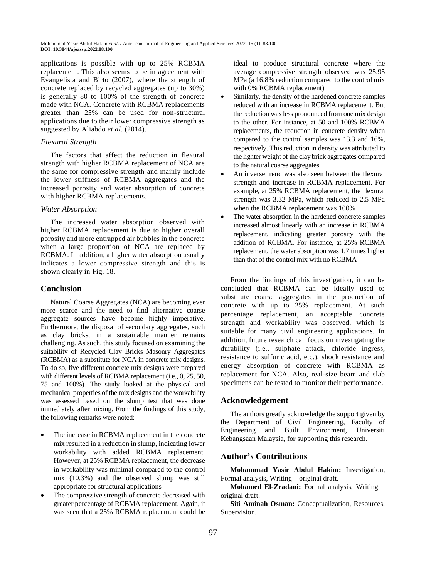applications is possible with up to 25% RCBMA replacement. This also seems to be in agreement with Evangelista and Birto (2007), where the strength of concrete replaced by recycled aggregates (up to 30%) is generally 80 to 100% of the strength of concrete made with NCA. Concrete with RCBMA replacements greater than 25% can be used for non-structural applications due to their lower compressive strength as suggested by Aliabdo *et al*. (2014).

### *Flexural Strength*

The factors that affect the reduction in flexural strength with higher RCBMA replacement of NCA are the same for compressive strength and mainly include the lower stiffness of RCBMA aggregates and the increased porosity and water absorption of concrete with higher RCBMA replacements.

### *Water Absorption*

The increased water absorption observed with higher RCBMA replacement is due to higher overall porosity and more entrapped air bubbles in the concrete when a large proportion of NCA are replaced by RCBMA. In addition, a higher water absorption usually indicates a lower compressive strength and this is shown clearly in Fig. 18.

### **Conclusion**

Natural Coarse Aggregates (NCA) are becoming ever more scarce and the need to find alternative coarse aggregate sources have become highly imperative. Furthermore, the disposal of secondary aggregates, such as clay bricks, in a sustainable manner remains challenging. As such, this study focused on examining the suitability of Recycled Clay Bricks Masonry Aggregates (RCBMA) as a substitute for NCA in concrete mix designs. To do so, five different concrete mix designs were prepared with different levels of RCBMA replacement (i.e., 0, 25, 50, 75 and 100%). The study looked at the physical and mechanical properties of the mix designs and the workability was assessed based on the slump test that was done immediately after mixing. From the findings of this study, the following remarks were noted:

- The increase in RCBMA replacement in the concrete mix resulted in a reduction in slump, indicating lower workability with added RCBMA replacement. However, at 25% RCBMA replacement, the decrease in workability was minimal compared to the control mix (10.3%) and the observed slump was still appropriate for structural applications
- The compressive strength of concrete decreased with greater percentage of RCBMA replacement. Again, it was seen that a 25% RCBMA replacement could be

ideal to produce structural concrete where the average compressive strength observed was 25.95 MPa (a 16.8% reduction compared to the control mix with 0% RCBMA replacement)

- Similarly, the density of the hardened concrete samples reduced with an increase in RCBMA replacement. But the reduction was less pronounced from one mix design to the other. For instance, at 50 and 100% RCBMA replacements, the reduction in concrete density when compared to the control samples was 13.3 and 16%, respectively. This reduction in density was attributed to the lighter weight of the clay brick aggregates compared to the natural coarse aggregates
- An inverse trend was also seen between the flexural strength and increase in RCBMA replacement. For example, at 25% RCBMA replacement, the flexural strength was 3.32 MPa, which reduced to 2.5 MPa when the RCBMA replacement was 100%
- The water absorption in the hardened concrete samples increased almost linearly with an increase in RCBMA replacement, indicating greater porosity with the addition of RCBMA. For instance, at 25% RCBMA replacement, the water absorption was 1.7 times higher than that of the control mix with no RCBMA

From the findings of this investigation, it can be concluded that RCBMA can be ideally used to substitute coarse aggregates in the production of concrete with up to 25% replacement. At such percentage replacement, an acceptable concrete strength and workability was observed, which is suitable for many civil engineering applications. In addition, future research can focus on investigating the durability (i.e., sulphate attack, chloride ingress, resistance to sulfuric acid, etc.), shock resistance and energy absorption of concrete with RCBMA as replacement for NCA. Also, real-size beam and slab specimens can be tested to monitor their performance.

### **Acknowledgement**

The authors greatly acknowledge the support given by the Department of Civil Engineering, Faculty of Engineering and Built Environment, Universiti Kebangsaan Malaysia, for supporting this research.

### **Author's Contributions**

**Mohammad Yasir Abdul Hakim:** Investigation, Formal analysis, Writing – original draft.

**Mohamed El-Zeadani:** Formal analysis, Writing – original draft.

**Siti Aminah Osman:** Conceptualization, Resources, Supervision.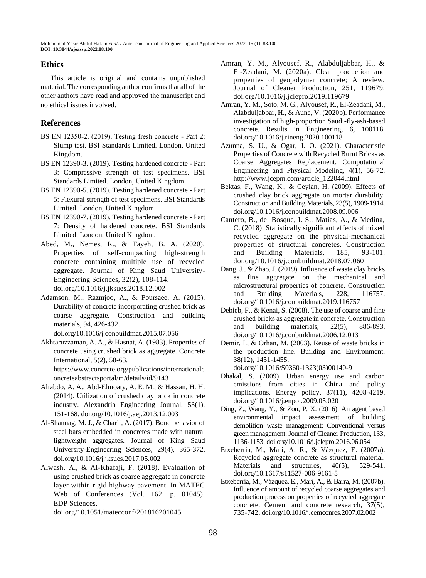## **Ethics**

This article is original and contains unpublished material. The corresponding author confirms that all of the other authors have read and approved the manuscript and no ethical issues involved.

# **References**

- BS EN 12350‑2. (2019). Testing fresh concrete Part 2: Slump test. BSI Standards Limited. London, United Kingdom.
- BS EN 12390-3. (2019). Testing hardened concrete Part 3: Compressive strength of test specimens. BSI Standards Limited. London, United Kingdom.
- BS EN 12390-5. (2019). Testing hardened concrete Part 5: Flexural strength of test specimens. BSI Standards Limited. London, United Kingdom.
- BS EN 12390-7. (2019). Testing hardened concrete Part 7: Density of hardened concrete. BSI Standards Limited. London, United Kingdom.
- Abed, M., Nemes, R., & Tayeh, B. A. (2020). Properties of self-compacting high-strength concrete containing multiple use of recycled aggregate. Journal of King Saud University-Engineering Sciences, 32(2), 108-114. doi.org/10.1016/j.jksues.2018.12.002
- Adamson, M., Razmjoo, A., & Poursaee, A. (2015). Durability of concrete incorporating crushed brick as coarse aggregate. Construction and building materials, 94, 426-432.

doi.org/10.1016/j.conbuildmat.2015.07.056

- Akhtaruzzaman, A. A., & Hasnat, A. (1983). Properties of concrete using crushed brick as aggregate. Concrete International, 5(2), 58-63. https://www.concrete.org/publications/internationalc oncreteabstractsportal/m/details/id/9143
- Aliabdo, A. A., Abd-Elmoaty, A. E. M., & Hassan, H. H. (2014). Utilization of crushed clay brick in concrete industry. Alexandria Engineering Journal, 53(1), 151-168. doi.org/10.1016/j.aej.2013.12.003
- Al-Shannag, M. J., & Charif, A. (2017). Bond behavior of steel bars embedded in concretes made with natural lightweight aggregates. Journal of King Saud University-Engineering Sciences, 29(4), 365-372. doi.org/10.1016/j.jksues.2017.05.002
- Alwash, A., & Al-Khafaji, F. (2018). Evaluation of using crushed brick as coarse aggregate in concrete layer within rigid highway pavement. In MATEC Web of Conferences (Vol. 162, p. 01045). EDP Sciences.

doi.org/10.1051/matecconf/201816201045

- Amran, Y. M., Alyousef, R., Alabduljabbar, H., & El-Zeadani, M. (2020a). Clean production and properties of geopolymer concrete; A review. Journal of Cleaner Production, 251, 119679. doi.org/10.1016/j.jclepro.2019.119679
- Amran, Y. M., Soto, M. G., Alyousef, R., El-Zeadani, M., Alabduljabbar, H., & Aune, V. (2020b). Performance investigation of high-proportion Saudi-fly-ash-based concrete. Results in Engineering, 6, 100118. doi.org/10.1016/j.rineng.2020.100118
- Azunna, S. U., & Ogar, J. O. (2021). Characteristic Properties of Concrete with Recycled Burnt Bricks as Coarse Aggregates Replacement. Computational Engineering and Physical Modeling, 4(1), 56-72. http://www.jcepm.com/article\_122044.html
- Bektas, F., Wang, K., & Ceylan, H. (2009). Effects of crushed clay brick aggregate on mortar durability. Construction and Building Materials, 23(5), 1909-1914. doi.org/10.1016/j.conbuildmat.2008.09.006
- Cantero, B., del Bosque, I. S., Matías, A., & Medina, C. (2018). Statistically significant effects of mixed recycled aggregate on the physical-mechanical properties of structural concretes. Construction and Building Materials, 185, 93-101. doi.org/10.1016/j.conbuildmat.2018.07.060
- Dang, J., & Zhao, J. (2019). Influence of waste clay bricks as fine aggregate on the mechanical and microstructural properties of concrete. Construction and Building Materials, 228, 116757. doi.org/10.1016/j.conbuildmat.2019.116757
- Debieb, F., & Kenai, S. (2008). The use of coarse and fine crushed bricks as aggregate in concrete. Construction and building materials, 22(5), 886-893. doi.org/10.1016/j.conbuildmat.2006.12.013
- Demir, I., & Orhan, M. (2003). Reuse of waste bricks in the production line. Building and Environment, 38(12), 1451-1455. doi.org/10.1016/S0360-1323(03)00140-9
- Dhakal, S. (2009). Urban energy use and carbon emissions from cities in China and policy implications. Energy policy, 37(11), 4208-4219. doi.org/10.1016/j.enpol.2009.05.020
- Ding, Z., Wang, Y., & Zou, P. X. (2016). An agent based environmental impact assessment of building demolition waste management: Conventional versus green management. Journal of Cleaner Production, 133, 1136-1153. doi.org/10.1016/j.jclepro.2016.06.054
- Etxeberria, M., Marí, A. R., & Vázquez, E. (2007a). Recycled aggregate concrete as structural material. Materials and structures,  $40(5)$ , 529-541. doi.org/10.1617/s11527-006-9161-5
- Etxeberria, M., Vázquez, E., Marí, A., & Barra, M. (2007b). Influence of amount of recycled coarse aggregates and production process on properties of recycled aggregate concrete. Cement and concrete research, 37(5), 735-742. doi.org/10.1016/j.cemconres.2007.02.002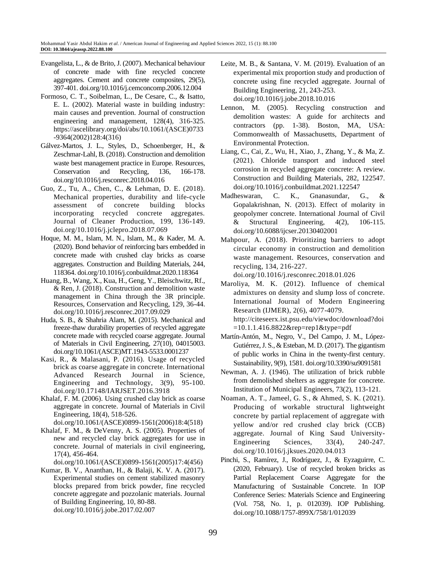- Evangelista, L., & de Brito, J. (2007). Mechanical behaviour of concrete made with fine recycled concrete aggregates. Cement and concrete composites, 29(5), 397-401. doi.org/10.1016/j.cemconcomp.2006.12.004
- Formoso, C. T., Soibelman, L., De Cesare, C., & Isatto, E. L. (2002). Material waste in building industry: main causes and prevention. Journal of construction engineering and management, 128(4), 316-325. https://ascelibrary.org/doi/abs/10.1061/(ASCE)0733 -9364(2002)128:4(316)
- Gálvez-Martos, J. L., Styles, D., Schoenberger, H., & Zeschmar-Lahl, B. (2018). Construction and demolition waste best management practice in Europe. Resources, Conservation and Recycling, 136, 166-178. doi.org/10.1016/j.resconrec.2018.04.016
- Guo, Z., Tu, A., Chen, C., & Lehman, D. E. (2018). Mechanical properties, durability and life-cycle assessment of concrete building blocks incorporating recycled concrete aggregates. Journal of Cleaner Production, 199, 136-149. doi.org/10.1016/j.jclepro.2018.07.069
- Hoque, M. M., Islam, M. N., Islam, M., & Kader, M. A. (2020). Bond behavior of reinforcing bars embedded in concrete made with crushed clay bricks as coarse aggregates. Construction and Building Materials, 244, 118364. doi.org/10.1016/j.conbuildmat.2020.118364
- Huang, B., Wang, X., Kua, H., Geng, Y., Bleischwitz, Rf., & Ren, J. (2018). Construction and demolition waste management in China through the 3R principle. Resources, Conservation and Recycling, 129, 36-44. doi.org/10.1016/j.resconrec.2017.09.029
- Huda, S. B., & Shahria Alam, M. (2015). Mechanical and freeze-thaw durability properties of recycled aggregate concrete made with recycled coarse aggregate. Journal of Materials in Civil Engineering, 27(10), 04015003. doi.org/10.1061/(ASCE)MT.1943-5533.0001237
- Kasi, R., & Malasani, P. (2016). Usage of recycled brick as coarse aggregate in concrete. International Advanced Research Journal in Science, Engineering and Technology, 3(9), 95-100. doi.org/10.17148/IARJSET.2016.3918
- Khalaf, F. M. (2006). Using crushed clay brick as coarse aggregate in concrete. Journal of Materials in Civil Engineering, 18(4), 518-526.
- [doi.org/10.1061/\(ASCE\)0899-1561\(2006\)18:4\(518\)](https://doi.org/10.1061/(ASCE)0899-1561(2006)18:4(518))
- Khalaf, F. M., & DeVenny, A. S. (2005). Properties of new and recycled clay brick aggregates for use in concrete. Journal of materials in civil engineering, 17(4), 456-464.

doi.org/10.1061/(ASCE)0899-1561(2005)17:4(456)

Kumar, B. V., Ananthan, H., & Balaji, K. V. A. (2017). Experimental studies on cement stabilized masonry blocks prepared from brick powder, fine recycled concrete aggregate and pozzolanic materials. Journal of Building Engineering, 10, 80-88. doi.org/10.1016/j.jobe.2017.02.007

- Leite, M. B., & Santana, V. M. (2019). Evaluation of an experimental mix proportion study and production of concrete using fine recycled aggregate. Journal of Building Engineering, 21, 243-253. doi.org/10.1016/j.jobe.2018.10.016
- Lennon, M. (2005). Recycling construction and demolition wastes: A guide for architects and contractors (pp. 1-38). Boston, MA, USA: Commonwealth of Massachusetts, Department of Environmental Protection.
- Liang, C., Cai, Z., Wu, H., Xiao, J., Zhang, Y., & Ma, Z. (2021). Chloride transport and induced steel corrosion in recycled aggregate concrete: A review. Construction and Building Materials, 282, 122547. doi.org/10.1016/j.conbuildmat.2021.122547
- Madheswaran, C. K., Gnanasundar, G., & Gopalakrishnan, N. (2013). Effect of molarity in geopolymer concrete. International Journal of Civil & Structural Engineering, 4(2), 106-115. doi.org/10.6088/ijcser.20130402001
- Mahpour, A. (2018). Prioritizing barriers to adopt circular economy in construction and demolition waste management. Resources, conservation and recycling, 134, 216-227.

doi.org/10.1016/j.resconrec.2018.01.026

- Maroliya, M. K. (2012). Influence of chemical admixtures on density and slump loss of concrete. International Journal of Modern Engineering Research (IJMER), 2(6), 4077-4079. http://citeseerx.ist.psu.edu/viewdoc/download?doi =10.1.1.416.8822&rep=rep1&type=pdf
- Martín-Antón, M., Negro, V., Del Campo, J. M., López-Gutiérrez, J. S., & Esteban, M. D. (2017). The gigantism of public works in China in the twenty-first century. Sustainability, 9(9), 1581. doi.org/10.3390/su9091581
- Newman, A. J. (1946). The utilization of brick rubble from demolished shelters as aggregate for concrete. Institution of Municipal Engineers, 73(2), 113-121.
- Noaman, A. T., Jameel, G. S., & Ahmed, S. K. (2021). Producing of workable structural lightweight concrete by partial replacement of aggregate with yellow and/or red crushed clay brick (CCB) aggregate. Journal of King Saud University-Engineering Sciences, 33(4), 240-247. doi.org/10.1016/j.jksues.2020.04.013
- Pinchi, S., Ramírez, J., Rodríguez, J., & Eyzaguirre, C. (2020, February). Use of recycled broken bricks as Partial Replacement Coarse Aggregate for the Manufacturing of Sustainable Concrete. In IOP Conference Series: Materials Science and Engineering (Vol. 758, No. 1, p. 012039). IOP Publishing. doi.org/10.1088/1757-899X/758/1/012039